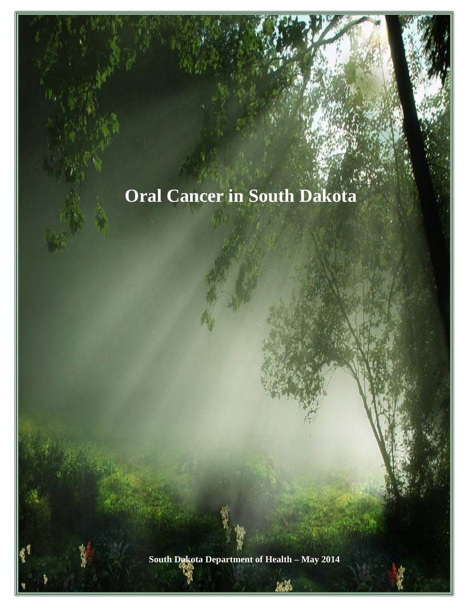# **Oral Cancer in South Dakota**

**South Dakota Department of Health – May 2014**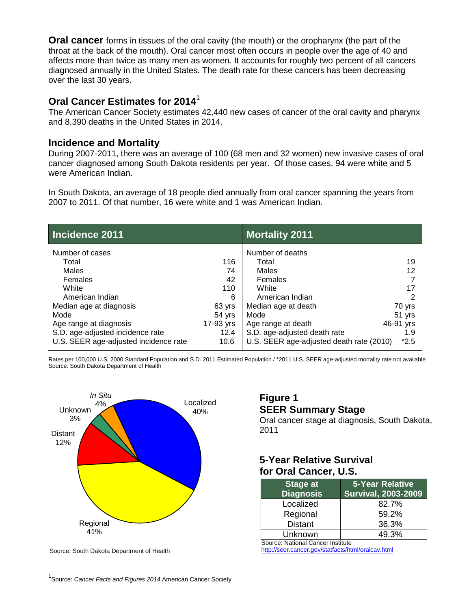**Oral cancer** forms in tissues of the oral cavity (the mouth) or the oropharynx (the part of the throat at the back of the mouth). Oral cancer most often occurs in people over the age of 40 and affects more than twice as many men as women. It accounts for roughly two percent of all cancers diagnosed annually in the United States. The death rate for these cancers has been decreasing over the last 30 years.

#### **Oral Cancer Estimates for 2014**<sup>1</sup>

The American Cancer Society estimates 42,440 new cases of cancer of the oral cavity and pharynx and 8,390 deaths in the United States in 2014.

#### **Incidence and Mortality**

During 2007-2011, there was an average of 100 (68 men and 32 women) new invasive cases of oral cancer diagnosed among South Dakota residents per year. Of those cases, 94 were white and 5 were American Indian.

In South Dakota, an average of 18 people died annually from oral cancer spanning the years from 2007 to 2011. Of that number, 16 were white and 1 was American Indian.

| Incidence 2011                        |           | <b>Mortality 2011</b>                    |           |
|---------------------------------------|-----------|------------------------------------------|-----------|
| Number of cases                       |           | Number of deaths                         |           |
| Total                                 | 116       | Total                                    | 19        |
| Males                                 | 74        | Males                                    | 12        |
| Females                               | 42        | Females                                  |           |
| White                                 | 110       | White                                    | 17        |
| American Indian                       | 6         | American Indian                          | 2         |
| Median age at diagnosis               | 63 yrs    | Median age at death                      | 70 yrs    |
| Mode                                  | 54 yrs    | Mode                                     | 51 yrs    |
| Age range at diagnosis                | 17-93 yrs | Age range at death                       | 46-91 yrs |
| S.D. age-adjusted incidence rate      | 12.4      | S.D. age-adjusted death rate             | 1.9       |
| U.S. SEER age-adjusted incidence rate | 10.6      | U.S. SEER age-adjusted death rate (2010) | $*2.5$    |

Rates per 100,000 U.S. 2000 Standard Population and S.D. 2011 Estimated Population / \*2011 U.S. SEER age-adjusted mortality rate not available Source: South Dakota Department of Health



Source: South Dakota Department of Health

## **Figure 1 SEER Summary Stage**

Oral cancer stage at diagnosis, South Dakota, 2011

### **5-Year Relative Survival for Oral Cancer, U.S.**

| <b>Stage at</b><br><b>Diagnosis</b> | 5-Year Relative<br><b>Survival, 2003-2009</b> |
|-------------------------------------|-----------------------------------------------|
| Localized                           | 82.7%                                         |
| Regional                            | 59.2%                                         |
| <b>Distant</b>                      | 36.3%                                         |
| Unknown                             | 49.3%                                         |

Source: National Cancer Institute

<http://seer.cancer.gov/statfacts/html/oralcav.html>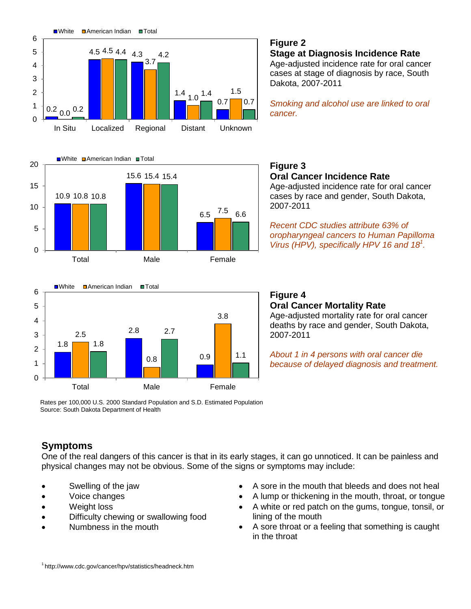





# **Figure 2**

**Stage at Diagnosis Incidence Rate** Age-adjusted incidence rate for oral cancer cases at stage of diagnosis by race, South Dakota, 2007-2011

*Smoking and alcohol use are linked to oral cancer.*

#### **Figure 3 Oral Cancer Incidence Rate**

Age-adjusted incidence rate for oral cancer cases by race and gender, South Dakota, 2007-2011

*Recent CDC studies attribute 63% of oropharyngeal cancers to Human Papilloma Virus (HPV), specifically HPV 16 and 181 .*

#### **Figure 4 Oral Cancer Mortality Rate** Age-adjusted mortality rate for oral cancer deaths by race and gender, South Dakota, 2007-2011

*About 1 in 4 persons with oral cancer die because of delayed diagnosis and treatment.*

Rates per 100,000 U.S. 2000 Standard Population and S.D. Estimated Population Source: South Dakota Department of Health

# **Symptoms**

One of the real dangers of this cancer is that in its early stages, it can go unnoticed. It can be painless and physical changes may not be obvious. Some of the signs or symptoms may include:

- Swelling of the jaw
- Voice changes
- Weight loss
- Difficulty chewing or swallowing food
- Numbness in the mouth
- A sore in the mouth that bleeds and does not heal
- A lump or thickening in the mouth, throat, or tongue
- A white or red patch on the gums, tongue, tonsil, or lining of the mouth
- A sore throat or a feeling that something is caught in the throat